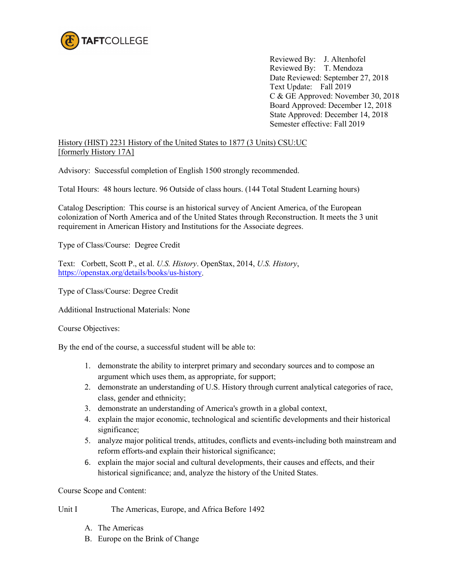

Reviewed By: J. Altenhofel Reviewed By: T. Mendoza Date Reviewed: September 27, 2018 Text Update: Fall 2019 C & GE Approved: November 30, 2018 Board Approved: December 12, 2018 State Approved: December 14, 2018 Semester effective: Fall 2019

History (HIST) 2231 History of the United States to 1877 (3 Units) CSU:UC [formerly History 17A]

Advisory: Successful completion of English 1500 strongly recommended.

Total Hours: 48 hours lecture. 96 Outside of class hours. (144 Total Student Learning hours)

Catalog Description: This course is an historical survey of Ancient America, of the European colonization of North America and of the United States through Reconstruction. It meets the 3 unit requirement in American History and Institutions for the Associate degrees.

Type of Class/Course: Degree Credit

Text: Corbett, Scott P., et al. *U.S. History*. OpenStax, 2014, *U.S. History*, [https://openstax.org/details/books/us-history.](https://openstax.org/details/books/us-history)

Type of Class/Course: Degree Credit

Additional Instructional Materials: None

Course Objectives:

By the end of the course, a successful student will be able to:

- 1. demonstrate the ability to interpret primary and secondary sources and to compose an argument which uses them, as appropriate, for support;
- 2. demonstrate an understanding of U.S. History through current analytical categories of race, class, gender and ethnicity;
- 3. demonstrate an understanding of America's growth in a global context,
- 4. explain the major economic, technological and scientific developments and their historical significance;
- 5. analyze major political trends, attitudes, conflicts and events-including both mainstream and reform efforts-and explain their historical significance;
- 6. explain the major social and cultural developments, their causes and effects, and their historical significance; and, analyze the history of the United States.

Course Scope and Content:

Unit I The Americas, Europe, and Africa Before 1492

- A. The Americas
- B. Europe on the Brink of Change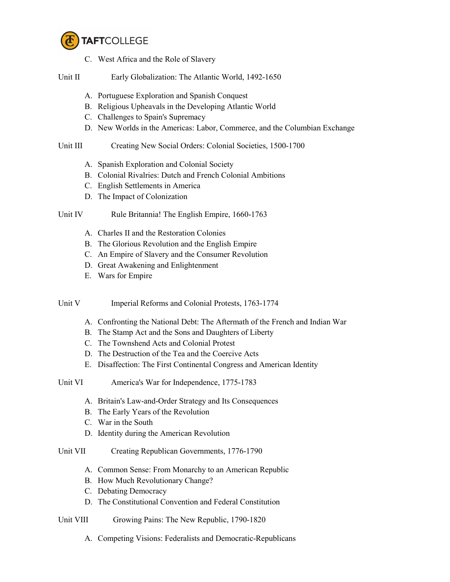

- C. West Africa and the Role of Slavery
- Unit II Early Globalization: The Atlantic World, 1492-1650
	- A. Portuguese Exploration and Spanish Conquest
	- B. Religious Upheavals in the Developing Atlantic World
	- C. Challenges to Spain's Supremacy
	- D. New Worlds in the Americas: Labor, Commerce, and the Columbian Exchange

## Unit III Creating New Social Orders: Colonial Societies, 1500-1700

- A. Spanish Exploration and Colonial Society
- B. Colonial Rivalries: Dutch and French Colonial Ambitions
- C. English Settlements in America
- D. The Impact of Colonization

## Unit IV Rule Britannia! The English Empire, 1660-1763

- A. Charles II and the Restoration Colonies
- B. The Glorious Revolution and the English Empire
- C. An Empire of Slavery and the Consumer Revolution
- D. Great Awakening and Enlightenment
- E. Wars for Empire

Unit V Imperial Reforms and Colonial Protests, 1763-1774

- A. Confronting the National Debt: The Aftermath of the French and Indian War
- B. The Stamp Act and the Sons and Daughters of Liberty
- C. The Townshend Acts and Colonial Protest
- D. The Destruction of the Tea and the Coercive Acts
- E. Disaffection: The First Continental Congress and American Identity
- Unit VI America's War for Independence, 1775-1783
	- A. Britain's Law-and-Order Strategy and Its Consequences
	- B. The Early Years of the Revolution
	- C. War in the South
	- D. Identity during the American Revolution

## Unit VII Creating Republican Governments, 1776-1790

- A. Common Sense: From Monarchy to an American Republic
- B. How Much Revolutionary Change?
- C. Debating Democracy
- D. The Constitutional Convention and Federal Constitution
- Unit VIII Growing Pains: The New Republic, 1790-1820
	- A. Competing Visions: Federalists and Democratic-Republicans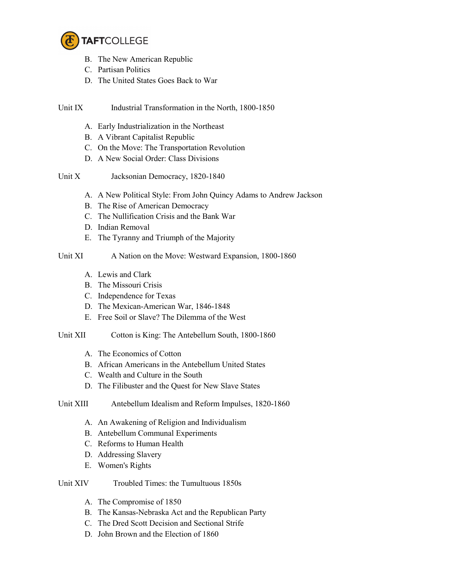

- B. The New American Republic
- C. Partisan Politics
- D. The United States Goes Back to War
- Unit IX Industrial Transformation in the North, 1800-1850
	- A. Early Industrialization in the Northeast
	- B. A Vibrant Capitalist Republic
	- C. On the Move: The Transportation Revolution
	- D. A New Social Order: Class Divisions
- Unit X Jacksonian Democracy, 1820-1840
	- A. A New Political Style: From John Quincy Adams to Andrew Jackson
	- B. The Rise of American Democracy
	- C. The Nullification Crisis and the Bank War
	- D. Indian Removal
	- E. The Tyranny and Triumph of the Majority

## Unit XI A Nation on the Move: Westward Expansion, 1800-1860

- A. Lewis and Clark
- B. The Missouri Crisis
- C. Independence for Texas
- D. The Mexican-American War, 1846-1848
- E. Free Soil or Slave? The Dilemma of the West
- Unit XII Cotton is King: The Antebellum South, 1800-1860
	- A. The Economics of Cotton
	- B. African Americans in the Antebellum United States
	- C. Wealth and Culture in the South
	- D. The Filibuster and the Quest for New Slave States
- Unit XIII Antebellum Idealism and Reform Impulses, 1820-1860
	- A. An Awakening of Religion and Individualism
	- B. Antebellum Communal Experiments
	- C. Reforms to Human Health
	- D. Addressing Slavery
	- E. Women's Rights
- Unit XIV Troubled Times: the Tumultuous 1850s
	- A. The Compromise of 1850
	- B. The Kansas-Nebraska Act and the Republican Party
	- C. The Dred Scott Decision and Sectional Strife
	- D. John Brown and the Election of 1860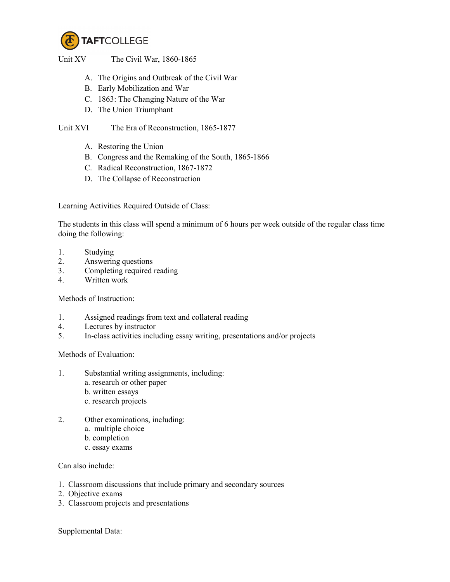

Unit XV The Civil War, 1860-1865

- A. The Origins and Outbreak of the Civil War
- B. Early Mobilization and War
- C. 1863: The Changing Nature of the War
- D. The Union Triumphant

Unit XVI The Era of Reconstruction, 1865-1877

- A. Restoring the Union
- B. Congress and the Remaking of the South, 1865-1866
- C. Radical Reconstruction, 1867-1872
- D. The Collapse of Reconstruction

Learning Activities Required Outside of Class:

The students in this class will spend a minimum of 6 hours per week outside of the regular class time doing the following:

- 1. Studying
- 2. Answering questions
- 3. Completing required reading
- 4. Written work

Methods of Instruction:

- 1. Assigned readings from text and collateral reading
- 4. Lectures by instructor
- 5. In-class activities including essay writing, presentations and/or projects

Methods of Evaluation:

- 1. Substantial writing assignments, including:
	- a. research or other paper
	- b. written essays
	- c. research projects
- 2. Other examinations, including:
	- a. multiple choice
	- b. completion
	- c. essay exams

Can also include:

- 1. Classroom discussions that include primary and secondary sources
- 2. Objective exams
- 3. Classroom projects and presentations

Supplemental Data: